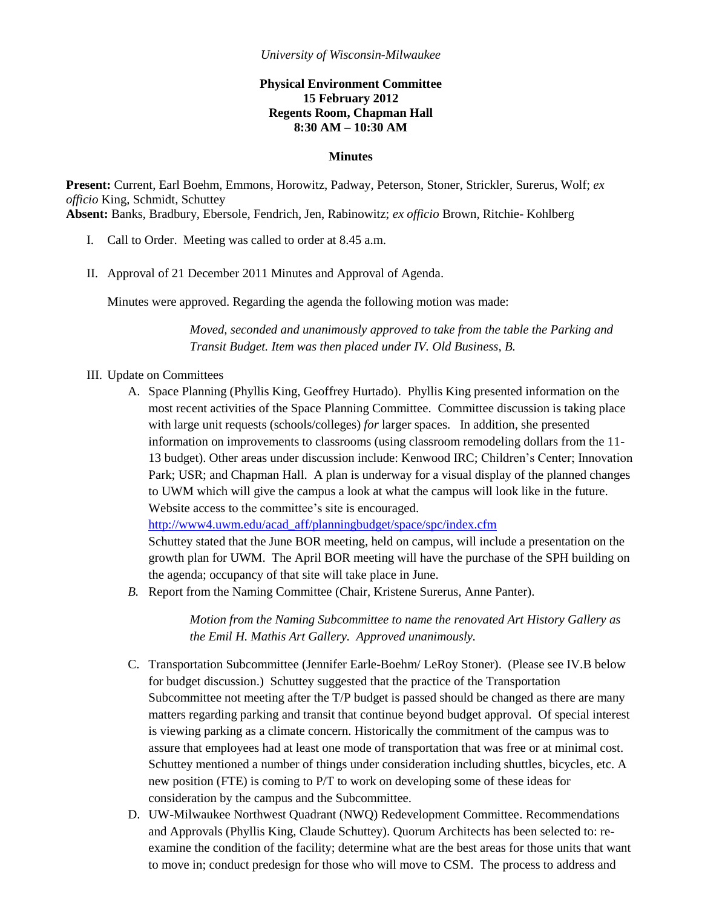## **Physical Environment Committee 15 February 2012 Regents Room, Chapman Hall 8:30 AM – 10:30 AM**

## **Minutes**

**Present:** Current, Earl Boehm, Emmons, Horowitz, Padway, Peterson, Stoner, Strickler, Surerus, Wolf; *ex officio* King, Schmidt, Schuttey **Absent:** Banks, Bradbury, Ebersole, Fendrich, Jen, Rabinowitz; *ex officio* Brown, Ritchie- Kohlberg

- I. Call to Order. Meeting was called to order at 8.45 a.m.
- II. Approval of 21 December 2011 Minutes and Approval of Agenda.

Minutes were approved. Regarding the agenda the following motion was made:

*Moved, seconded and unanimously approved to take from the table the Parking and Transit Budget. Item was then placed under IV. Old Business, B.*

- III. Update on Committees
	- A. Space Planning (Phyllis King, Geoffrey Hurtado). Phyllis King presented information on the most recent activities of the Space Planning Committee. Committee discussion is taking place with large unit requests (schools/colleges) *for* larger spaces. In addition, she presented information on improvements to classrooms (using classroom remodeling dollars from the 11- 13 budget). Other areas under discussion include: Kenwood IRC; Children's Center; Innovation Park; USR; and Chapman Hall. A plan is underway for a visual display of the planned changes to UWM which will give the campus a look at what the campus will look like in the future. Website access to the committee's site is encouraged.

[http://www4.uwm.edu/acad\\_aff/planningbudget/space/spc/index.cfm](http://www4.uwm.edu/acad_aff/planningbudget/space/spc/index.cfm)

Schuttey stated that the June BOR meeting, held on campus, will include a presentation on the growth plan for UWM. The April BOR meeting will have the purchase of the SPH building on the agenda; occupancy of that site will take place in June.

*B.* Report from the Naming Committee (Chair, Kristene Surerus, Anne Panter).

*Motion from the Naming Subcommittee to name the renovated Art History Gallery as the Emil H. Mathis Art Gallery. Approved unanimously.*

- C. Transportation Subcommittee (Jennifer Earle-Boehm/ LeRoy Stoner). (Please see IV.B below for budget discussion.) Schuttey suggested that the practice of the Transportation Subcommittee not meeting after the T/P budget is passed should be changed as there are many matters regarding parking and transit that continue beyond budget approval. Of special interest is viewing parking as a climate concern. Historically the commitment of the campus was to assure that employees had at least one mode of transportation that was free or at minimal cost. Schuttey mentioned a number of things under consideration including shuttles, bicycles, etc. A new position (FTE) is coming to P/T to work on developing some of these ideas for consideration by the campus and the Subcommittee.
- D. UW-Milwaukee Northwest Quadrant (NWQ) Redevelopment Committee. Recommendations and Approvals (Phyllis King, Claude Schuttey). Quorum Architects has been selected to: reexamine the condition of the facility; determine what are the best areas for those units that want to move in; conduct predesign for those who will move to CSM. The process to address and